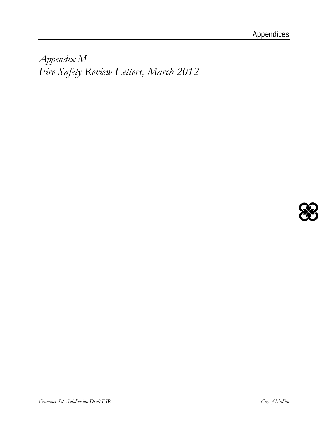*Appendix M Fire Safety Review Letters, March 2012* 

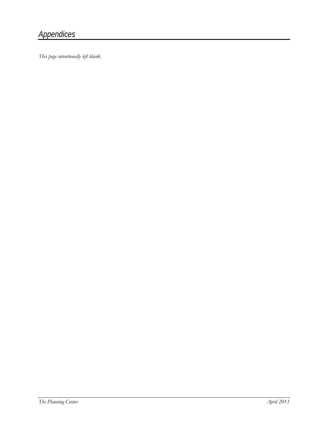*This page intentionally left blank.*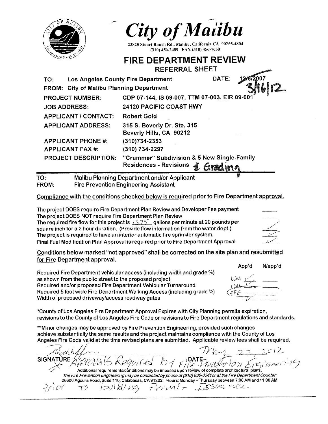

**City of Maiibu** 

23825 Stuart Ranch Rd.. Malibu, California CA 90265-4804 (310) 456-2489 FAX (310) 456-7650

## FIRE DEPARTMENT REVIEW REFERRAL SHEET

TO: Los Angeles County Fire Department DATE: 12/6/2007

FROM: City of Malibu Planning Department

| <b>PROJECT NUMBER:</b>                                     | CDP 07-144, IS 09-007, TTM 07-003, EIR 09-001                          |  |  |  |  |
|------------------------------------------------------------|------------------------------------------------------------------------|--|--|--|--|
| <b>JOB ADDRESS:</b>                                        | 24120 PACIFIC COAST HWY                                                |  |  |  |  |
| <b>APPLICANT / CONTACT:</b>                                | <b>Robert Gold</b>                                                     |  |  |  |  |
| <b>APPLICANT ADDRESS:</b>                                  | 315 S. Beverly Dr. Ste. 315<br>Beverly Hills, CA 90212                 |  |  |  |  |
| <b>APPLICANT PHONE #:</b>                                  | $(310)734 - 2353$                                                      |  |  |  |  |
| <b>APPLICANT FAX #:</b>                                    | (310) 734-2297                                                         |  |  |  |  |
| <b>PROJECT DESCRIPTION:</b>                                | "Crummer" Subdivision & 5 New Single-Family<br>Residences - Revisions. |  |  |  |  |
| <b>BRattle :: Disputes :: Department en Jeu Ann Ungelt</b> |                                                                        |  |  |  |  |

Malibu Planning Department and/or Applicant Fire Prevention Engineering Assistant TO: FROM:

Compliance with the conditions checked below is required prior to Fire Department approval.

The project DOES require Fire Department Plan Review and Developer Fee payment The project DOES NOT require Fire Department Plan Review The required fire flow for this project is  $1.575$  gallons per minute at 20 pounds per square inch for a 2 hour duration. (Provide flow information from the water dept.) The project is required to have an interior automatic fire sprinkler system. Final Fuel Modification Plan Approval is required priorto Fire Department Approval



App'd N/app'd

,/  $L$ Da  $V$   $\longrightarrow$ 

 $CFE =$ 

Conditions below marked "not approved" shall be corrected on the site plan and resubmitted for Fire Department approval.

Required Fire Department vehicular access (including width and grade %) as shown from the public street to the proposed project. Required and/or proposed Fire Department Vehicular Turnaround Required 5 foot wide Fire Department Walking Access (including grade %) Width of proposed driveway/access roadway gates

\*County of Los Angeles Fire Department Approval Expires with City Planning permits expiration, revisions to the County of Los Angeles Fire Code or revisions to Fire Department regulations and standards.

\*\*Minor changes may be approved by Fire Prevention Engineering, provided such changes achieve substantially the same results and the project maintains compliance with the County of Los

Angeles Fire Code valid at the time revised plans are submitted. Applicable review fees shall be required.<br>
SIGNATURE APPOUR IS Required by Fig. Dante SIGNATURE  $g'_{R}g_{C}g_{R}g_{R}$  $L^2$  /  $H^2$  // $\ell$  // $\ell$  /  $\ell$  // $\ell$  // $\ell$  // $\ell$  // $\ell$  // $\ell$  // $\ell$  // $\ell$  // $\ell$  // $\ell$  // $\ell$  // $\ell$  // $\ell$  // $\ell$  // $\ell$  // $\ell$  // $\ell$  // $\ell$  // $\ell$  // $\ell$  // $\ell$  // $\ell$  // $\ell$  // $\ell$  // $\ell$  // $\ell$  // $\ell$  // $\$ The Fire Prevention Engineering may be contacted by phone at (818) 880-0341or at the Fire Department Counter: 26600 Agoura Road, Suite 110, Calabasas, CA 91302; Hours: Monday - Thursday between 7:00 AM and 11 :00 AM TO building Permit Issuance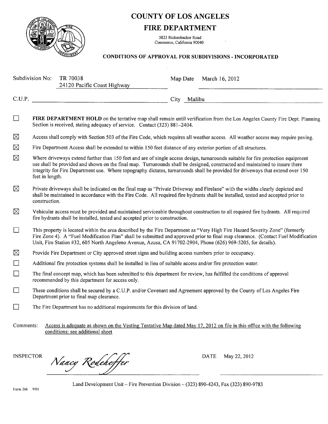

### COUNTY OF LOS ANGELES

### FIRE DEPARTMENT

5823 Rickenbacker Road Commerce, California 90040

#### CONDITIONS OF APPROVAL FOR SUBDIVISIONS - INCORPORATED

|             | Subdivision No:                                                                                                                                                                                                                                                                                                                                                                                                      | TR 70038<br>24120 Pacific Coast Highway                                                                                                                   | Map Date    |  | March 16, 2012 |  |  |
|-------------|----------------------------------------------------------------------------------------------------------------------------------------------------------------------------------------------------------------------------------------------------------------------------------------------------------------------------------------------------------------------------------------------------------------------|-----------------------------------------------------------------------------------------------------------------------------------------------------------|-------------|--|----------------|--|--|
|             |                                                                                                                                                                                                                                                                                                                                                                                                                      | C.U.P.                                                                                                                                                    | City Malibu |  |                |  |  |
| $\Box$      | FIRE DEPARTMENT HOLD on the tentative map shall remain until verification from the Los Angeles County Fire Dept. Planning<br>Section is received, stating adequacy of service. Contact (323) 881-2404.                                                                                                                                                                                                               |                                                                                                                                                           |             |  |                |  |  |
| ⊠           | Access shall comply with Section 503 of the Fire Code, which requires all weather access. All weather access may require paving.                                                                                                                                                                                                                                                                                     |                                                                                                                                                           |             |  |                |  |  |
| ⊠           | Fire Department Access shall be extended to within 150 feet distance of any exterior portion of all structures.                                                                                                                                                                                                                                                                                                      |                                                                                                                                                           |             |  |                |  |  |
| ⊠           | Where driveways extend further than 150 feet and are of single access design, turnarounds suitable for fire protection equipment<br>use shall be provided and shown on the final map. Turnarounds shall be designed, constructed and maintained to insure there<br>integrity for Fire Department use. Where topography dictates, turnarounds shall be provided for driveways that extend over 150<br>feet in length. |                                                                                                                                                           |             |  |                |  |  |
| $\boxtimes$ | Private driveways shall be indicated on the final map as "Private Driveway and Firelane" with the widths clearly depicted and<br>shall be maintained in accordance with the Fire Code. All required fire hydrants shall be installed, tested and accepted prior to<br>construction.                                                                                                                                  |                                                                                                                                                           |             |  |                |  |  |
| $\boxtimes$ | Vehicular access must be provided and maintained serviceable throughout construction to all required fire hydrants. All required<br>fire hydrants shall be installed, tested and accepted prior to construction.                                                                                                                                                                                                     |                                                                                                                                                           |             |  |                |  |  |
| $\Box$      | This property is located within the area described by the Fire Department as "Very High Fire Hazard Severity Zone" (formerly<br>Fire Zone 4). A "Fuel Modification Plan" shall be submitted and approved prior to final map clearance. (Contact Fuel Modification<br>Unit, Fire Station #32, 605 North Angeleno Avenue, Azusa, CA 91702-2904, Phone (626) 969-5205, for details).                                    |                                                                                                                                                           |             |  |                |  |  |
| $\boxtimes$ | Provide Fire Department or City approved street signs and building access numbers prior to occupancy.                                                                                                                                                                                                                                                                                                                |                                                                                                                                                           |             |  |                |  |  |
| $\Box$      | Additional fire protection systems shall be installed in lieu of suitable access and/or fire protection water.                                                                                                                                                                                                                                                                                                       |                                                                                                                                                           |             |  |                |  |  |
| $\Box$      | The final concept map, which has been submitted to this department for review, has fulfilled the conditions of approval<br>recommended by this department for access only.                                                                                                                                                                                                                                           |                                                                                                                                                           |             |  |                |  |  |
| $\Box$      | These conditions shall be secured by a C.U.P. and/or Covenant and Agreement approved by the County of Los Angeles Fire<br>Department prior to final map clearance.                                                                                                                                                                                                                                                   |                                                                                                                                                           |             |  |                |  |  |
| $\Box$      | The Fire Department has no additional requirements for this division of land.                                                                                                                                                                                                                                                                                                                                        |                                                                                                                                                           |             |  |                |  |  |
| Comments:   |                                                                                                                                                                                                                                                                                                                                                                                                                      | Access is adequate as shown on the Vesting Tentative Map dated May 17, 2012 on file in this office with the following<br>conditions: see additional sheet |             |  |                |  |  |

INSPECTOR Nancy Rodeheffer DATE May 22, 2012

Land Development Unit - Fire Prevention Division  $-$  (323) 890-4243, Fax (323) 890-9783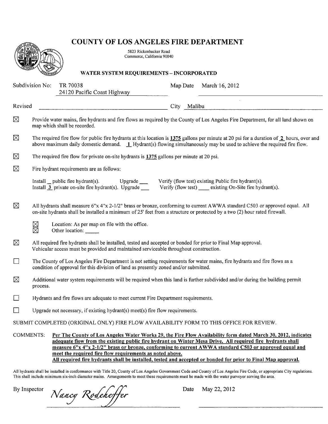### COUNTY OF LOS ANGELES FIRE DEPARTMENT

5823 Rickenbacker Road Commerce, Califomia 90040

### WATER SYSTEM REQUIREMENTS - INCORPORATED

|                                                                                                                                                                                                                                                              | Subdivision No:                                                                                                                                                                                                                                                          | TR 70038<br>24120 Pacific Coast Highway                                                                                                                                                                                                                                          |             | Map Date March 16, 2012                                                                                       |  |  |  |
|--------------------------------------------------------------------------------------------------------------------------------------------------------------------------------------------------------------------------------------------------------------|--------------------------------------------------------------------------------------------------------------------------------------------------------------------------------------------------------------------------------------------------------------------------|----------------------------------------------------------------------------------------------------------------------------------------------------------------------------------------------------------------------------------------------------------------------------------|-------------|---------------------------------------------------------------------------------------------------------------|--|--|--|
| Revised                                                                                                                                                                                                                                                      |                                                                                                                                                                                                                                                                          |                                                                                                                                                                                                                                                                                  | City Malibu |                                                                                                               |  |  |  |
| ⊠                                                                                                                                                                                                                                                            | Provide water mains, fire hydrants and fire flows as required by the County of Los Angeles Fire Department, for all land shown on<br>map which shall be recorded.                                                                                                        |                                                                                                                                                                                                                                                                                  |             |                                                                                                               |  |  |  |
| $\boxtimes$                                                                                                                                                                                                                                                  | The required fire flow for public fire hydrants at this location is $1375$ gallons per minute at 20 psi for a duration of $2$ hours, over and<br>above maximum daily domestic demand. 1 Hydrant(s) flowing simultaneously may be used to achieve the required fire flow. |                                                                                                                                                                                                                                                                                  |             |                                                                                                               |  |  |  |
| $\boxtimes$                                                                                                                                                                                                                                                  | The required fire flow for private on-site hydrants is 1375 gallons per minute at 20 psi.                                                                                                                                                                                |                                                                                                                                                                                                                                                                                  |             |                                                                                                               |  |  |  |
| $\boxtimes$                                                                                                                                                                                                                                                  |                                                                                                                                                                                                                                                                          | Fire hydrant requirements are as follows:                                                                                                                                                                                                                                        |             |                                                                                                               |  |  |  |
|                                                                                                                                                                                                                                                              |                                                                                                                                                                                                                                                                          | Install $\equiv$ public fire hydrant(s).<br>Upgrade _____<br>Install $\overline{3}$ private on-site fire hydrant(s). Upgrade $\overline{\phantom{a}}$                                                                                                                            |             | Verify (flow test) existing Public fire hydrant(s).<br>Verify (flow test) existing On-Site fire hydrant(s).   |  |  |  |
| ⊠<br>All hydrants shall measure 6"x 4"x 2-1/2" brass or bronze, conforming to current AWWA standard C503 or approved equal. All<br>on-site hydrants shall be installed a minimum of 25' feet from a structure or protected by a two (2) hour rated firewall. |                                                                                                                                                                                                                                                                          |                                                                                                                                                                                                                                                                                  |             |                                                                                                               |  |  |  |
|                                                                                                                                                                                                                                                              | X                                                                                                                                                                                                                                                                        | Location: As per map on file with the office.<br>Other location:                                                                                                                                                                                                                 |             |                                                                                                               |  |  |  |
| $\boxtimes$                                                                                                                                                                                                                                                  | All required fire hydrants shall be installed, tested and accepted or bonded for prior to Final Map approval.<br>Vehicular access must be provided and maintained serviceable throughout construction.                                                                   |                                                                                                                                                                                                                                                                                  |             |                                                                                                               |  |  |  |
| $\Box$                                                                                                                                                                                                                                                       | The County of Los Angeles Fire Department is not setting requirements for water mains, fire hydrants and fire flows as a<br>condition of approval for this division of land as presently zoned and/or submitted.                                                         |                                                                                                                                                                                                                                                                                  |             |                                                                                                               |  |  |  |
| $\boxtimes$                                                                                                                                                                                                                                                  | Additional water system requirements will be required when this land is further subdivided and/or during the building permit<br>process.                                                                                                                                 |                                                                                                                                                                                                                                                                                  |             |                                                                                                               |  |  |  |
| ⊔                                                                                                                                                                                                                                                            | Hydrants and fire flows are adequate to meet current Fire Department requirements.                                                                                                                                                                                       |                                                                                                                                                                                                                                                                                  |             |                                                                                                               |  |  |  |
| $\Box$                                                                                                                                                                                                                                                       | Upgrade not necessary, if existing hydrant(s) meet(s) fire flow requirements.                                                                                                                                                                                            |                                                                                                                                                                                                                                                                                  |             |                                                                                                               |  |  |  |
|                                                                                                                                                                                                                                                              |                                                                                                                                                                                                                                                                          | SUBMIT COMPLETED (ORIGINAL ONLY) FIRE FLOW AVAILABILITY FORM TO THIS OFFICE FOR REVIEW.                                                                                                                                                                                          |             |                                                                                                               |  |  |  |
| <b>COMMENTS:</b>                                                                                                                                                                                                                                             |                                                                                                                                                                                                                                                                          | adequate flow from the existing public fire hydrant on Winter Mesa Drive. All required fire hydrants shall<br>measure 6"x 4"x 2-1/2" brass or bronze, conforming to current AWWA standard C503 or approved equal and<br>meet the required fire flow requirements as noted above. |             | Per The County of Los Angeles Water Works 29, the Fire Flow Availability form dated March 30, 2012, indicates |  |  |  |

All required fire hydrants shall be installed, tested and accepted or bonded for prior to Final Map approval.

All hydrants shall be installed in conformance with Title 20, County of Los Angeles Government Code and County of Los Angeles Fire Code, or appropriate City regulations.<br>This shall include minimum six-inch diameter mains. This shall include minimum six-inch diameter mains. Arrangements to meet these requirements must be made with the water purveyor serving the area.